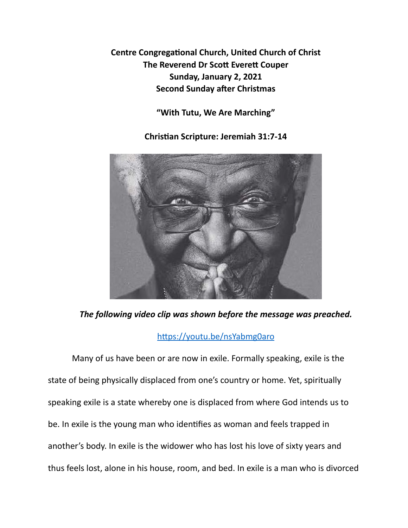**Centre Congregational Church, United Church of Christ The Reverend Dr Scott Everett Couper Sunday, January 2, 2021 Second Sunday after Christmas** 

**"With Tutu, We Are Marching"** 

**Chris\*an Scripture: Jeremiah 31:7-14** 



*The following video clip was shown before the message was preached.* 

## https://youtu.be/nsYabmg0aro

Many of us have been or are now in exile. Formally speaking, exile is the state of being physically displaced from one's country or home. Yet, spiritually speaking exile is a state whereby one is displaced from where God intends us to be. In exile is the young man who identifies as woman and feels trapped in another's body. In exile is the widower who has lost his love of sixty years and thus feels lost, alone in his house, room, and bed. In exile is a man who is divorced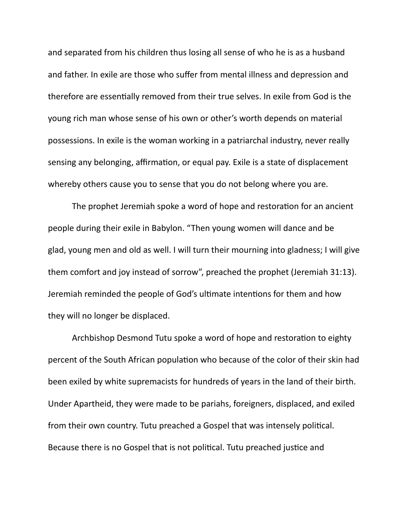and separated from his children thus losing all sense of who he is as a husband and father. In exile are those who suffer from mental illness and depression and therefore are essentially removed from their true selves. In exile from God is the young rich man whose sense of his own or other's worth depends on material possessions. In exile is the woman working in a patriarchal industry, never really sensing any belonging, affirmation, or equal pay. Exile is a state of displacement whereby others cause you to sense that you do not belong where you are.

The prophet Jeremiah spoke a word of hope and restoration for an ancient people during their exile in Babylon. "Then young women will dance and be glad, young men and old as well. I will turn their mourning into gladness; I will give them comfort and joy instead of sorrow", preached the prophet (Jeremiah 31:13). Jeremiah reminded the people of God's ultimate intentions for them and how they will no longer be displaced.

Archbishop Desmond Tutu spoke a word of hope and restoration to eighty percent of the South African population who because of the color of their skin had been exiled by white supremacists for hundreds of years in the land of their birth. Under Apartheid, they were made to be pariahs, foreigners, displaced, and exiled from their own country. Tutu preached a Gospel that was intensely political. Because there is no Gospel that is not political. Tutu preached justice and